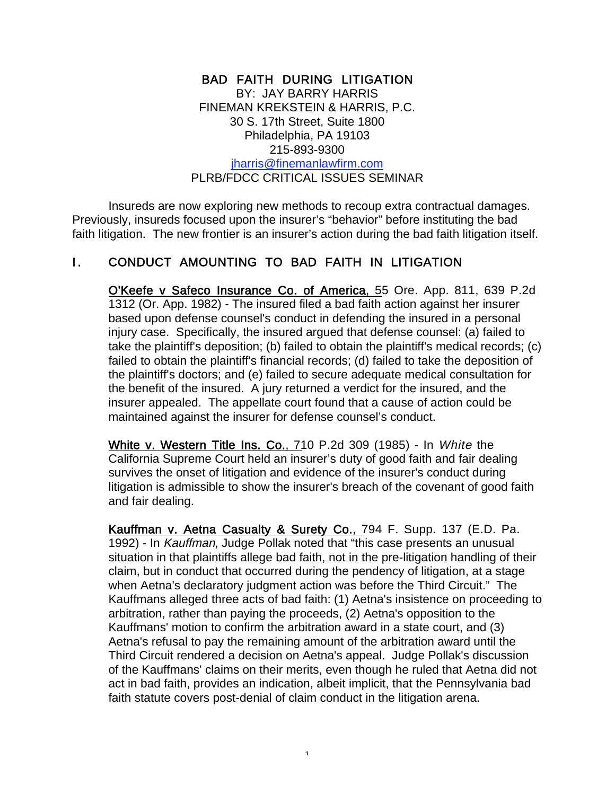#### BAD FAITH DURING LITIGATION BY: JAY BARRY HARRIS FINEMAN KREKSTEIN & HARRIS, P.C. 30 S. 17th Street, Suite 1800 Philadelphia, PA 19103 215-893-9300 jharris@finemanlawfirm.com PLRB/FDCC CRITICAL ISSUES SEMINAR

Insureds are now exploring new methods to recoup extra contractual damages. Previously, insureds focused upon the insurer's "behavior" before instituting the bad faith litigation. The new frontier is an insurer's action during the bad faith litigation itself.

#### I. CONDUCT AMOUNTING TO BAD FAITH IN LITIGATION

O'Keefe v Safeco Insurance Co. of America, 55 Ore. App. 811, 639 P.2d 1312 (Or. App. 1982) - The insured filed a bad faith action against her insurer based upon defense counsel's conduct in defending the insured in a personal injury case. Specifically, the insured argued that defense counsel: (a) failed to take the plaintiff's deposition; (b) failed to obtain the plaintiff's medical records; (c) failed to obtain the plaintiff's financial records; (d) failed to take the deposition of the plaintiff's doctors; and (e) failed to secure adequate medical consultation for the benefit of the insured. A jury returned a verdict for the insured, and the insurer appealed. The appellate court found that a cause of action could be maintained against the insurer for defense counsel's conduct.

White v. Western Title Ins. Co., 710 P.2d 309 (1985) - In White the California Supreme Court held an insurer's duty of good faith and fair dealing survives the onset of litigation and evidence of the insurer's conduct during litigation is admissible to show the insurer's breach of the covenant of good faith and fair dealing.

Kauffman v. Aetna Casualty & Surety Co., 794 F. Supp. 137 (E.D. Pa. 1992) - In Kauffman, Judge Pollak noted that "this case presents an unusual situation in that plaintiffs allege bad faith, not in the pre-litigation handling of their claim, but in conduct that occurred during the pendency of litigation, at a stage when Aetna's declaratory judgment action was before the Third Circuit." The Kauffmans alleged three acts of bad faith: (1) Aetna's insistence on proceeding to arbitration, rather than paying the proceeds, (2) Aetna's opposition to the Kauffmans' motion to confirm the arbitration award in a state court, and (3) Aetna's refusal to pay the remaining amount of the arbitration award until the Third Circuit rendered a decision on Aetna's appeal. Judge Pollak's discussion of the Kauffmans' claims on their merits, even though he ruled that Aetna did not act in bad faith, provides an indication, albeit implicit, that the Pennsylvania bad faith statute covers post-denial of claim conduct in the litigation arena.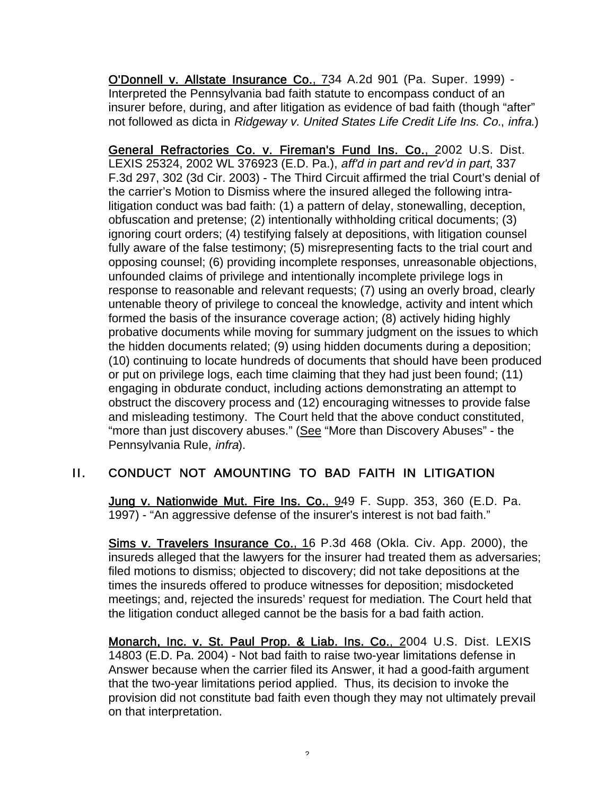O'Donnell v. Allstate Insurance Co., 734 A.2d 901 (Pa. Super. 1999) - Interpreted the Pennsylvania bad faith statute to encompass conduct of an insurer before, during, and after litigation as evidence of bad faith (though "after" not followed as dicta in Ridgeway v. United States Life Credit Life Ins. Co., infra.)

General Refractories Co. v. Fireman's Fund Ins. Co., 2002 U.S. Dist. LEXIS 25324, 2002 WL 376923 (E.D. Pa.), aff'd in part and rev'd in part, 337 F.3d 297, 302 (3d Cir. 2003) - The Third Circuit affirmed the trial Court's denial of the carrier's Motion to Dismiss where the insured alleged the following intralitigation conduct was bad faith: (1) a pattern of delay, stonewalling, deception, obfuscation and pretense; (2) intentionally withholding critical documents; (3) ignoring court orders; (4) testifying falsely at depositions, with litigation counsel fully aware of the false testimony; (5) misrepresenting facts to the trial court and opposing counsel; (6) providing incomplete responses, unreasonable objections, unfounded claims of privilege and intentionally incomplete privilege logs in response to reasonable and relevant requests; (7) using an overly broad, clearly untenable theory of privilege to conceal the knowledge, activity and intent which formed the basis of the insurance coverage action; (8) actively hiding highly probative documents while moving for summary judgment on the issues to which the hidden documents related; (9) using hidden documents during a deposition; (10) continuing to locate hundreds of documents that should have been produced or put on privilege logs, each time claiming that they had just been found; (11) engaging in obdurate conduct, including actions demonstrating an attempt to obstruct the discovery process and (12) encouraging witnesses to provide false and misleading testimony. The Court held that the above conduct constituted, "more than just discovery abuses." (See "More than Discovery Abuses" - the Pennsylvania Rule, infra).

#### II. CONDUCT NOT AMOUNTING TO BAD FAITH IN LITIGATION

Jung v. Nationwide Mut. Fire Ins. Co., 949 F. Supp. 353, 360 (E.D. Pa. 1997) - "An aggressive defense of the insurer's interest is not bad faith."

Sims v. Travelers Insurance Co., 16 P.3d 468 (Okla. Civ. App. 2000), the insureds alleged that the lawyers for the insurer had treated them as adversaries; filed motions to dismiss; objected to discovery; did not take depositions at the times the insureds offered to produce witnesses for deposition; misdocketed meetings; and, rejected the insureds' request for mediation. The Court held that the litigation conduct alleged cannot be the basis for a bad faith action.

Monarch, Inc. v. St. Paul Prop. & Liab. Ins. Co., 2004 U.S. Dist. LEXIS 14803 (E.D. Pa. 2004) - Not bad faith to raise two-year limitations defense in Answer because when the carrier filed its Answer, it had a good-faith argument that the two-year limitations period applied. Thus, its decision to invoke the provision did not constitute bad faith even though they may not ultimately prevail on that interpretation.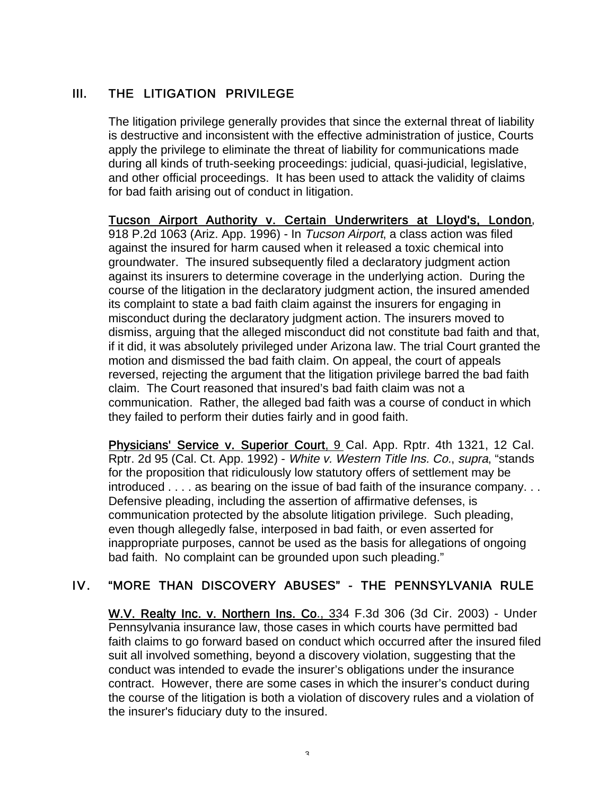## III. THE LITIGATION PRIVILEGE

The litigation privilege generally provides that since the external threat of liability is destructive and inconsistent with the effective administration of justice, Courts apply the privilege to eliminate the threat of liability for communications made during all kinds of truth-seeking proceedings: judicial, quasi-judicial, legislative, and other official proceedings. It has been used to attack the validity of claims for bad faith arising out of conduct in litigation.

Tucson Airport Authority v. Certain Underwriters at Lloyd's, London, 918 P.2d 1063 (Ariz. App. 1996) - In Tucson Airport, a class action was filed against the insured for harm caused when it released a toxic chemical into groundwater. The insured subsequently filed a declaratory judgment action against its insurers to determine coverage in the underlying action. During the course of the litigation in the declaratory judgment action, the insured amended its complaint to state a bad faith claim against the insurers for engaging in misconduct during the declaratory judgment action. The insurers moved to dismiss, arguing that the alleged misconduct did not constitute bad faith and that, if it did, it was absolutely privileged under Arizona law. The trial Court granted the motion and dismissed the bad faith claim. On appeal, the court of appeals reversed, rejecting the argument that the litigation privilege barred the bad faith claim. The Court reasoned that insured's bad faith claim was not a communication. Rather, the alleged bad faith was a course of conduct in which they failed to perform their duties fairly and in good faith.

Physicians' Service v. Superior Court, 9 Cal. App. Rptr. 4th 1321, 12 Cal. Rptr. 2d 95 (Cal. Ct. App. 1992) - White v. Western Title Ins. Co., supra, "stands for the proposition that ridiculously low statutory offers of settlement may be introduced . . . . as bearing on the issue of bad faith of the insurance company. . . Defensive pleading, including the assertion of affirmative defenses, is communication protected by the absolute litigation privilege. Such pleading, even though allegedly false, interposed in bad faith, or even asserted for inappropriate purposes, cannot be used as the basis for allegations of ongoing bad faith. No complaint can be grounded upon such pleading."

#### IV. "MORE THAN DISCOVERY ABUSES" - THE PENNSYLVANIA RULE

W.V. Realty Inc. v. Northern Ins. Co., 334 F.3d 306 (3d Cir. 2003) - Under Pennsylvania insurance law, those cases in which courts have permitted bad faith claims to go forward based on conduct which occurred after the insured filed suit all involved something, beyond a discovery violation, suggesting that the conduct was intended to evade the insurer's obligations under the insurance contract. However, there are some cases in which the insurer's conduct during the course of the litigation is both a violation of discovery rules and a violation of the insurer's fiduciary duty to the insured.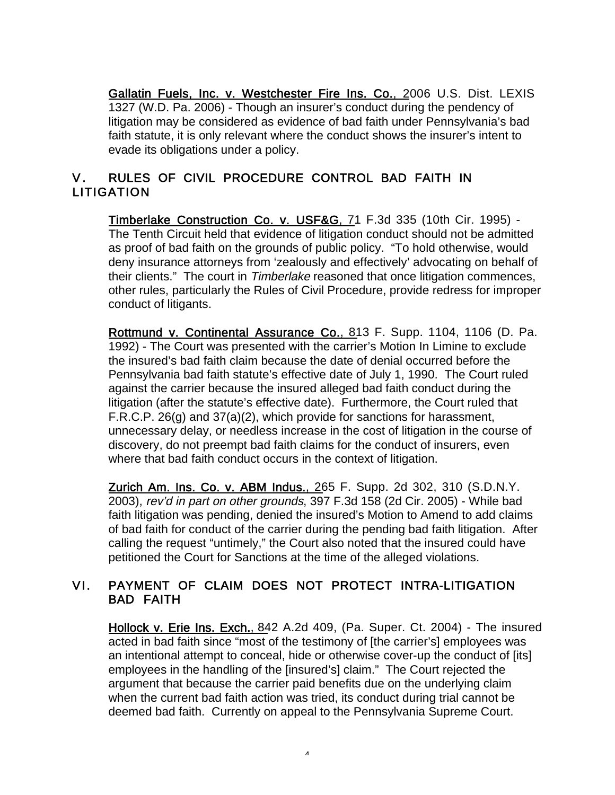Gallatin Fuels, Inc. v. Westchester Fire Ins. Co., 2006 U.S. Dist. LEXIS 1327 (W.D. Pa. 2006) - Though an insurer's conduct during the pendency of litigation may be considered as evidence of bad faith under Pennsylvania's bad faith statute, it is only relevant where the conduct shows the insurer's intent to evade its obligations under a policy.

## V. RULES OF CIVIL PROCEDURE CONTROL BAD FAITH IN **LITIGATION**

Timberlake Construction Co. v. USF&G, 71 F.3d 335 (10th Cir. 1995) -The Tenth Circuit held that evidence of litigation conduct should not be admitted as proof of bad faith on the grounds of public policy. "To hold otherwise, would deny insurance attorneys from 'zealously and effectively' advocating on behalf of their clients." The court in Timberlake reasoned that once litigation commences, other rules, particularly the Rules of Civil Procedure, provide redress for improper conduct of litigants.

Rottmund v. Continental Assurance Co., 813 F. Supp. 1104, 1106 (D. Pa. 1992) - The Court was presented with the carrier's Motion In Limine to exclude the insured's bad faith claim because the date of denial occurred before the Pennsylvania bad faith statute's effective date of July 1, 1990. The Court ruled against the carrier because the insured alleged bad faith conduct during the litigation (after the statute's effective date). Furthermore, the Court ruled that F.R.C.P. 26(g) and 37(a)(2), which provide for sanctions for harassment, unnecessary delay, or needless increase in the cost of litigation in the course of discovery, do not preempt bad faith claims for the conduct of insurers, even where that bad faith conduct occurs in the context of litigation.

Zurich Am. Ins. Co. v. ABM Indus., 265 F. Supp. 2d 302, 310 (S.D.N.Y. 2003), rev'd in part on other grounds, 397 F.3d 158 (2d Cir. 2005) - While bad faith litigation was pending, denied the insured's Motion to Amend to add claims of bad faith for conduct of the carrier during the pending bad faith litigation. After calling the request "untimely," the Court also noted that the insured could have petitioned the Court for Sanctions at the time of the alleged violations.

#### VI. PAYMENT OF CLAIM DOES NOT PROTECT INTRA-LITIGATION BAD FAITH

Hollock v. Erie Ins. Exch., 842 A.2d 409, (Pa. Super. Ct. 2004) - The insured acted in bad faith since "most of the testimony of [the carrier's] employees was an intentional attempt to conceal, hide or otherwise cover-up the conduct of [its] employees in the handling of the [insured's] claim." The Court rejected the argument that because the carrier paid benefits due on the underlying claim when the current bad faith action was tried, its conduct during trial cannot be deemed bad faith. Currently on appeal to the Pennsylvania Supreme Court.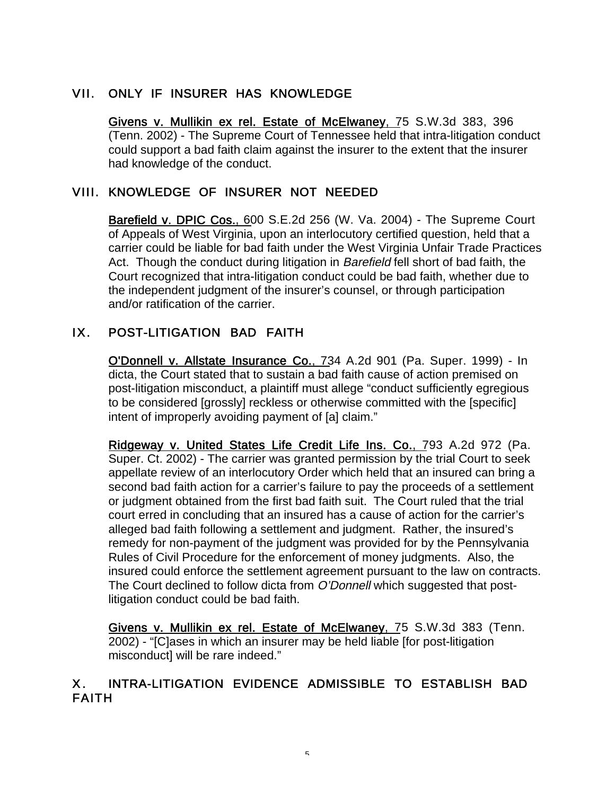## VII. ONLY IF INSURER HAS KNOWLEDGE

Givens v. Mullikin ex rel. Estate of McElwaney, 75 S.W.3d 383, 396 (Tenn. 2002) - The Supreme Court of Tennessee held that intra-litigation conduct could support a bad faith claim against the insurer to the extent that the insurer had knowledge of the conduct.

#### VIII. KNOWLEDGE OF INSURER NOT NEEDED

**Barefield v. DPIC Cos., 600 S.E.2d 256 (W. Va. 2004) - The Supreme Court** of Appeals of West Virginia, upon an interlocutory certified question, held that a carrier could be liable for bad faith under the West Virginia Unfair Trade Practices Act. Though the conduct during litigation in *Barefield* fell short of bad faith, the Court recognized that intra-litigation conduct could be bad faith, whether due to the independent judgment of the insurer's counsel, or through participation and/or ratification of the carrier.

## IX. POST-LITIGATION BAD FAITH

O'Donnell v. Allstate Insurance Co., 734 A.2d 901 (Pa. Super. 1999) - In dicta, the Court stated that to sustain a bad faith cause of action premised on post-litigation misconduct, a plaintiff must allege "conduct sufficiently egregious to be considered [grossly] reckless or otherwise committed with the [specific] intent of improperly avoiding payment of [a] claim."

Ridgeway v. United States Life Credit Life Ins. Co., 793 A.2d 972 (Pa. Super. Ct. 2002) - The carrier was granted permission by the trial Court to seek appellate review of an interlocutory Order which held that an insured can bring a second bad faith action for a carrier's failure to pay the proceeds of a settlement or judgment obtained from the first bad faith suit. The Court ruled that the trial court erred in concluding that an insured has a cause of action for the carrier's alleged bad faith following a settlement and judgment. Rather, the insured's remedy for non-payment of the judgment was provided for by the Pennsylvania Rules of Civil Procedure for the enforcement of money judgments. Also, the insured could enforce the settlement agreement pursuant to the law on contracts. The Court declined to follow dicta from O'Donnell which suggested that postlitigation conduct could be bad faith.

Givens v. Mullikin ex rel. Estate of McElwaney, 75 S.W.3d 383 (Tenn. 2002) - "[C]ases in which an insurer may be held liable [for post-litigation misconduct] will be rare indeed."

## X. INTRA-LITIGATION EVIDENCE ADMISSIBLE TO ESTABLISH BAD FAITH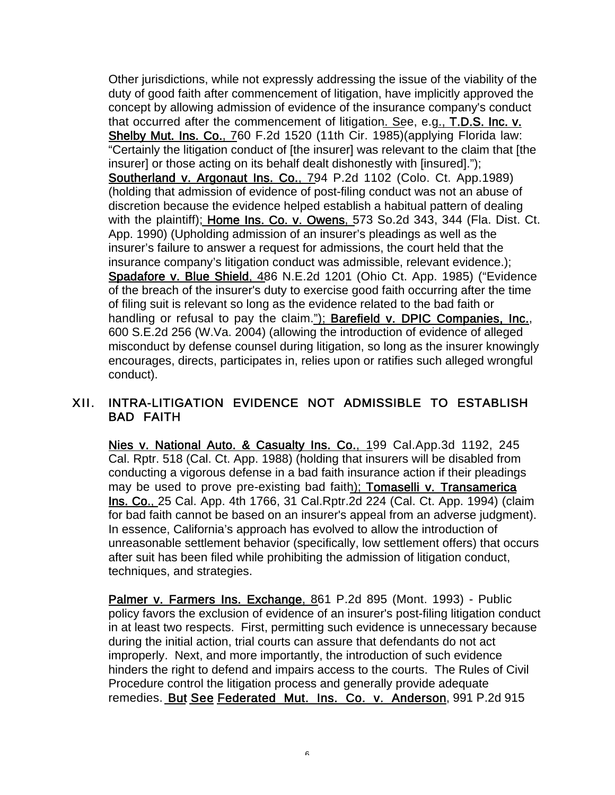Other jurisdictions, while not expressly addressing the issue of the viability of the duty of good faith after commencement of litigation, have implicitly approved the concept by allowing admission of evidence of the insurance company's conduct that occurred after the commencement of litigation. See, e.g., T.D.S. Inc. v. Shelby Mut. Ins. Co., 760 F.2d 1520 (11th Cir. 1985)(applying Florida law: "Certainly the litigation conduct of [the insurer] was relevant to the claim that [the insurer] or those acting on its behalf dealt dishonestly with [insured]."); Southerland v. Argonaut Ins. Co., 794 P.2d 1102 (Colo. Ct. App.1989) (holding that admission of evidence of post-filing conduct was not an abuse of discretion because the evidence helped establish a habitual pattern of dealing with the plaintiff); Home Ins. Co. v. Owens, 573 So.2d 343, 344 (Fla. Dist. Ct. App. 1990) (Upholding admission of an insurer's pleadings as well as the insurer's failure to answer a request for admissions, the court held that the insurance company's litigation conduct was admissible, relevant evidence.); Spadafore v. Blue Shield, 486 N.E.2d 1201 (Ohio Ct. App. 1985) ("Evidence of the breach of the insurer's duty to exercise good faith occurring after the time of filing suit is relevant so long as the evidence related to the bad faith or handling or refusal to pay the claim."); Barefield v. DPIC Companies, Inc., 600 S.E.2d 256 (W.Va. 2004) (allowing the introduction of evidence of alleged misconduct by defense counsel during litigation, so long as the insurer knowingly encourages, directs, participates in, relies upon or ratifies such alleged wrongful conduct).

#### XII. INTRA-LITIGATION EVIDENCE NOT ADMISSIBLE TO ESTABLISH BAD FAITH

Nies v. National Auto. & Casualty Ins. Co., 199 Cal.App.3d 1192, 245 Cal. Rptr. 518 (Cal. Ct. App. 1988) (holding that insurers will be disabled from conducting a vigorous defense in a bad faith insurance action if their pleadings may be used to prove pre-existing bad faith); Tomaselli v. Transamerica Ins. Co., 25 Cal. App. 4th 1766, 31 Cal.Rptr.2d 224 (Cal. Ct. App. 1994) (claim for bad faith cannot be based on an insurer's appeal from an adverse judgment). In essence, California's approach has evolved to allow the introduction of unreasonable settlement behavior (specifically, low settlement offers) that occurs after suit has been filed while prohibiting the admission of litigation conduct, techniques, and strategies.

Palmer v. Farmers Ins. Exchange, 861 P.2d 895 (Mont. 1993) - Public policy favors the exclusion of evidence of an insurer's post-filing litigation conduct in at least two respects. First, permitting such evidence is unnecessary because during the initial action, trial courts can assure that defendants do not act improperly. Next, and more importantly, the introduction of such evidence hinders the right to defend and impairs access to the courts. The Rules of Civil Procedure control the litigation process and generally provide adequate remedies. But See Federated Mut. Ins. Co. v. Anderson, 991 P.2d 915